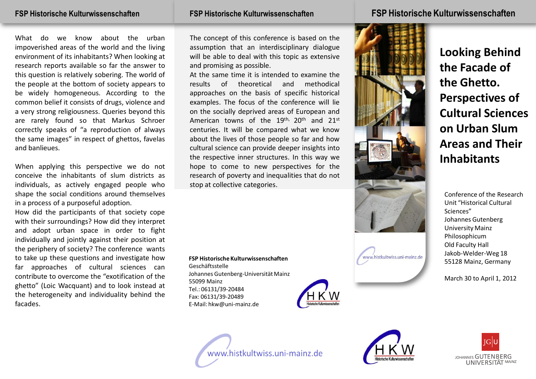What do we know about the urban impoverished areas of the world and the living environment of its inhabitants? When looking at research reports available so far the answer to this question is relatively sobering. The world of the people at the bottom of society appears to be widely homogeneous. According to the common belief it consists of drugs, violence and a very strong religiousness. Queries beyond this are rarely found so that Markus Schroer correctly speaks of "a reproduction of always the same images" in respect of ghettos, favelas and banlieues.

When applying this perspective we do not conceive the inhabitants of slum districts as individuals, as actively engaged people who shape the social conditions around themselves in a process of a purposeful adoption.

How did the participants of that society cope with their surroundings? How did they interpret and adopt urban space in order to fight individually and jointly against their position at the periphery of society? The conference wants to take up these questions and investigate how far approaches of cultural sciences can contribute to overcome the "exotification of the ghetto" (Loic Wacquant) and to look instead at the heterogeneity and individuality behind the facades.

The concept of this conference is based on the assumption that an interdisciplinary dialogue will be able to deal with this topic as extensive and promising as possible.

At the same time it is intended to examine the results of theoretical and methodical approaches on the basis of specific historical examples. The focus of the conference will lie on the socially deprived areas of European and American towns of the 19<sup>th,</sup> 20<sup>th</sup> and 21<sup>st</sup> centuries. It will be compared what we know about the lives of those people so far and how cultural science can provide deeper insights into the respective inner structures. In this way we hope to come to new perspectives for the research of poverty and inequalities that do not stop at collective categories.

**FSP Historische Kulturwissenschaften** Geschäftsstelle Johannes Gutenberg-Universität Mainz 55099 Mainz Tel.: 06131/39-20484 Fax: 06131/39-20489 E-Mail: hkw@uni-mainz.de



# **FSP Historische Kulturwissenschaften FSP Historische Kulturwissenschaften**



**Looking Behind the Facade of the Ghetto. Perspectives of Cultural Sciences on Urban Slum Areas and Their Inhabitants**

Conference of the Research Unit "Historical Cultural Sciences" Johannes Gutenberg University Mainz Philosophicum Old Faculty Hall Jakob-Welder-Weg 18 55128 Mainz, Germany

March 30 to April 1, 2012